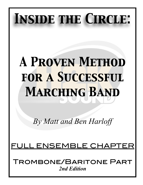# *Inside the Circle:*

# *A Proven Method for a Successful Marching Band*

*By Matt and Ben Harloff* 

## <u>. ENSEMBLE CHAP</u>

Trombone/Baritone Part *2nd Edition*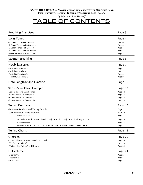*by Matt and Ben Harloff*

## TABLE OF CONTENTS

| <b>Breathing Exercises</b>                                                     | Page 3             |
|--------------------------------------------------------------------------------|--------------------|
| Long Tones                                                                     | Page 4             |
| -9 Count Tones on F Concert:                                                   | Page 4             |
| -9 Count Tones on Bb Concert:                                                  | Page 4             |
| -8 Count Tones on F Concert:                                                   | Page 4             |
| -8 Count Tones on Bb Concert:                                                  | Page 5             |
| -Release Exercise on F Concert:                                                | Page 5             |
| Stagger Breathing                                                              | Page 6             |
| <b>Flexibility/Scales</b>                                                      | Page 7             |
| -Flexibility Exercise #1:                                                      | Page 7             |
| -Flexibility Exercise #2:                                                      | Page 7             |
| -Flexibility Exercise #3:                                                      | Page 8             |
| -Flexibility Exercise #4:                                                      | Page 9             |
| Note Length/Shape Exercise                                                     | Page 10            |
| <b>Show Articulation Examples</b>                                              | Page 12            |
|                                                                                |                    |
| -Basic 8 Staccato Eighth Notes:<br>-Show Articulation Example #1:              | Page 12<br>Page 12 |
| -Show Articulation Example #2:                                                 | Page 13            |
| -Show Articulation Example #3:                                                 | Page 13            |
| <b>Tuning Exercises</b>                                                        | Page 15            |
| -Ensemble Fundamental Tuning Exercise:                                         | Page 15            |
| -Just IntonationTuning Exercises:                                              | Page 16            |
|                                                                                |                    |
| -Bb Major Scale:                                                               | Page 16            |
| -Bb Major Chord, F Major Chord, C Major Chord, Eb Major Chord, Ab Major Chord: | Page 16            |
| -G Minor Scale:                                                                | Page 17            |
| -G Minor Chord, D Minor Chord, A Minor Chord, C Minor Chord, F Minor Chord:    | Page 17            |
| <b>Tuning Charts</b>                                                           | Page 18            |
| Chorales                                                                       | Page 20            |
| -"O Sacred Head Now Wounded" by JS Bach:                                       | Page 20            |
| -"Be Thou My Vision":                                                          | Page 20            |
| -"Faith of Our Fathers" by H Hemy:                                             | Page 20            |
| <b>Full Volume</b>                                                             | Page 21            |
| -Excerpt $#1$ :                                                                | Page 21            |
| -Excerpt #2:                                                                   | Page 21            |
| -Excerpt $#3$ :                                                                | Page 21            |
|                                                                                |                    |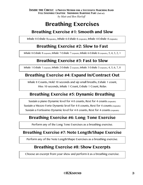## **Breathing Exercises**

## **Breathing Exercise #1: Smooth and Slow**

Inhale 8-Exhale 8(repeats), Inhale 6-Exhale 6 (repeats), Inhale 4-Exhale 4 (repeats)

## **Breathing Exercise #2: Slow to Fast**

Inhale 8-Exhale 8 (repeats), Inhale 7-Exhale 7 (repeats), Inhale 6-Exhale 6 (repeats), 5, 4, 3, 2, 1

## **Breathing Exercise #3: Fast to Slow**

Inhale 1-Exhale 1 (repeats), Inhale 2-Exhale 2 (repeats), Inhale 3-Exhale 3 (repeats), 4, 5, 6, 7, 8

### **Breathing Exercise #4: Expand In/Contract Out**

Inhale 8 Counts, Hold 10 seconds and sip small breaths, Exhale 1 count, Hiss 10 seconds, Inhale 1 Count, Exhale 1 Count, Relax

## **Breathing Exercise #5: Dynamic Breathing**

Sustain a piano Dynamic level for 4-8 counts, Rest for 4 counts (repeats) Sustain a Mezzo Forte Dynamic level for 4-8 counts, Rest for 4 counts (repeats) Sustain a Fortissimo Dynamic level for 4-8 counts, Rest for 4 counts (repeats)

## **Breathing Exercise #6: Long Tone Exercise**

Perform any of the Long Tone Exercises as a breathing exercise.

### **Breathing Exercise #7: Note Length/Shape Exercise**

Perform any of the Note Length/Shape Exercises as a breathing exercise.

## **Breathing Exercise #8: Show Excerpts**

Choose an excerpt from your show and perform it as a breathing exercise.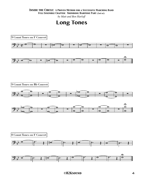*by Matt and Ben Harloff*

## **Long Tones**

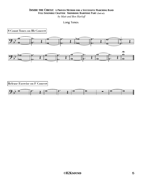*by Matt and Ben Harloff*

Long Tones



**Release Exercise on F Concert**

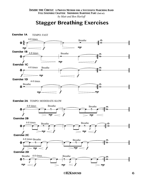## **Stagger Breathing Exercises**



 *©H2Ksound* 6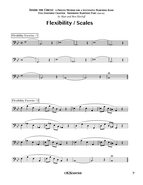*by Matt and Ben Harloff*

**Flexibility / Scales**

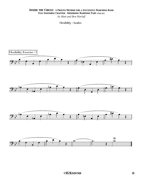*by Matt and Ben Harloff*

Flexibility / Scales

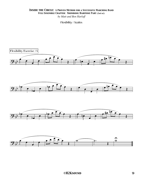*by Matt and Ben Harloff*

Flexibility / Scales

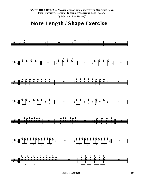## Note Length / Shape Exercise

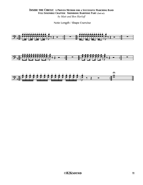#### **INSIDE THE CIRCLE: A PROVEN METHOD FOR A SUCCESSFUL MARCHING BAND** FULL ENSEMBLE CHAPTER: TROMBONE/BARITONE PART (2nd ed.) by Matt and Ben Harloff

Note Length / Shape Exercise

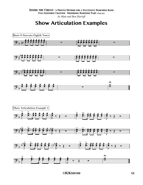## **Show Articulation Examples**

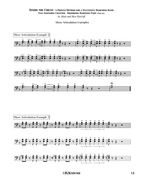#### **INSIDE THE CIRCLE: A PROVEN METHOD FOR A SUCCESSFUL MARCHING BAND** FULL ENSEMBLE CHAPTER: TROMBONE/BARITONE PART (2nd ed.) by Matt and Ben Harloff

Show Articulation Examples

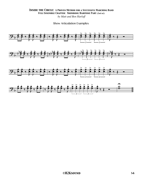Show Articulation Examples

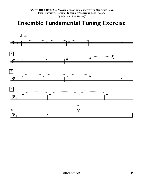## **Ensemble Fundamental Tuning Exercise**

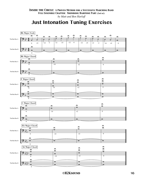*by Matt and Ben Harloff*

## **Just Intonation Tuning Exercises**

![](_page_15_Figure_3.jpeg)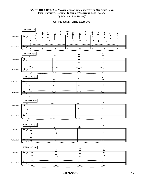#### Just Intonation Tuning Exercises

![](_page_16_Figure_2.jpeg)

 *©H2Ksound* 17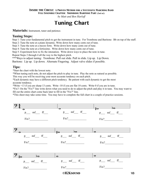#### *Inside the Circle: A Proven Method for a Successful Marching Band*

*Full Ensemble Chapter: Trombone/Baritone Part (2nd ed.)*

*by Matt and Ben Harloff*

## **Tuning Chart**

**Materials:** Instrument, tuner and patience.

#### **Tuning Steps:**

Step 1: Tune your fundamental pitch to get the instrument in tune. For Trombone and Baritone: Bb on top of the staff. Step 2: Tune the note at a piano dynamic. Write down how many cents out of tune.

Step 3: Tune the note at a mezzo forte. Write down how many cents out of tune. Step 4: Tune the note at a fortissimo. Write down how many cents out of tune.

Step 5: Experiment how to fix the intonation. Write down ways to place the note in tune.

Repeat Steps 2 through 4 all the way to the highest pitch.

\*\*\*Ways to adjust tuning: Trombone: Pull out slide. Pull in slide. Lip up. Lip Down.

Baritone: Lip up. Lip down. Alternate Fingering. Adjust valve slides if possible.

#### **Tips:**

\*Start the chart with the lowest note.

\*When tuning each note, do not adjust the pitch to play in tune. Play the note as natural as possible.

This way you will be receiving your most accurate tendency on each pitch.

\*Each dynamic may have a different pitch tendency. Be patient with each dynamic to get the most accurate tendency.

\*Write +13 if you are sharp 13 cents. Write -10 if you are flat 10 cents. Write 0 if you are in tune.

\*Fix?: On the "Fix?" line write down what you need to do to adjust the pitch and play it in tune. You may want to fill out the entire chart come back later to fill in the "Fix?" line.

\*This sheet may take some time. You may have to complete the full chart in a couple of practice sessions.

![](_page_17_Figure_21.jpeg)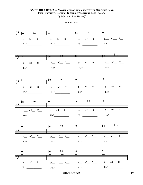*by Matt and Ben Harloff*

Tuning Chart

![](_page_18_Figure_3.jpeg)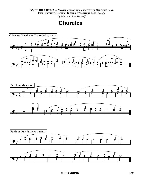*by Matt and Ben Harloff*

## **Chorales**

![](_page_19_Figure_3.jpeg)

![](_page_19_Figure_4.jpeg)

![](_page_19_Figure_5.jpeg)

![](_page_19_Figure_6.jpeg)